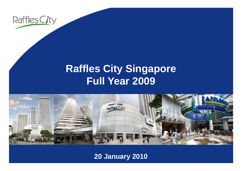

# **R ffl Cit Si affles City Singapore Full Year 2009**



**20 January 2010**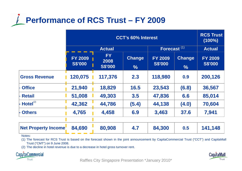

|                            | <b>CCT's 60% Interest</b>        |                                     |                         | <b>RCS Trust</b><br>$(100\%)$    |                                |                                  |
|----------------------------|----------------------------------|-------------------------------------|-------------------------|----------------------------------|--------------------------------|----------------------------------|
|                            | <b>Actual</b>                    |                                     | Forecast <sup>(1)</sup> |                                  | <b>Actual</b>                  |                                  |
|                            | <b>FY 2009</b><br><b>S\$'000</b> | <b>FY</b><br>2008<br><b>S\$'000</b> | <b>Change</b><br>$\%$   | <b>FY 2009</b><br><b>S\$'000</b> | <b>Change</b><br>$\frac{0}{6}$ | <b>FY 2009</b><br><b>S\$'000</b> |
| <b>Gross Revenue</b>       | 120,075                          | 117,376                             | 2.3                     | 118,980                          | 0.9                            | 200,126                          |
| <b>Office</b>              | 21,940                           | 18,829                              | 16.5                    | 23,543                           | (6.8)                          | 36,567                           |
| <b>Retail</b>              | 51,008                           | 49,303                              | 3.5                     | 47,836                           | 6.6                            | 85,014                           |
| HoteI <sup>(2)</sup>       | 42,362                           | 44,786                              | (5.4)                   | 44,138                           | (4.0)                          | 70,604                           |
| <b>Others</b>              | 4,765                            | 4,458                               | 6.9                     | 3,463                            | 37.6                           | 7,941                            |
| <b>Net Property Income</b> | 84,690                           | 80,908                              | 4.7                     | 84,300                           | 0.5                            | 141,148                          |

Notes:

(1) The forecast for RCS Trust is based on the forecast shown in the joint announcement by CapitaCommercial Trust ("CCT") and CapitaMall Trust ("CMT") on 9 June 2008.

(2) The decline in hotel revenue is due to <sup>a</sup> decrease in hotel gross turnover rent.





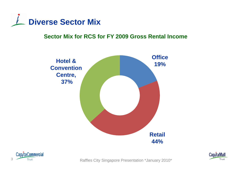

### **Sector Mix for RCS for FY 2009 Gross Rental Income**





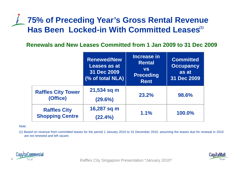# **75% of Preceding Year's Gross Rental Revenue**  Has Been Locked-in With Committed Leases(1)

Renewals and New Leases Committed from 1 Jan 2009 to 31 Dec 2009

|                                               | <b>Renewed/New</b><br>Leases as at<br>31 Dec 2009<br>(% of total NLA) | Increase in<br><b>Rental</b><br><b>VS</b><br><b>Preceding</b><br><b>Rent</b> | <b>Committed</b><br><b>Occupancy</b><br>as at<br>31 Dec 2009 |
|-----------------------------------------------|-----------------------------------------------------------------------|------------------------------------------------------------------------------|--------------------------------------------------------------|
| <b>Raffles City Tower</b><br>(Office)         | 21,534 sq m<br>(29.6%)                                                | 23.2%                                                                        | 98.6%                                                        |
| <b>Raffles City</b><br><b>Shopping Centre</b> | 16,287 sq m<br>(22.4%)                                                | 1.1%                                                                         | 100.0%                                                       |

Note:

(1) Based on revenue from committed leases for the period 1 January 2010 to 31 December 2010, assuming the leases due for renewal in 2010 are not renewed and left vacant.



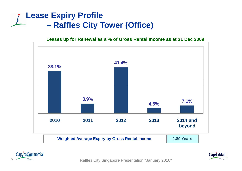### **Lease Expiry Profile –Raffles City Tower (Office)**

**Leases up for Renewal as a % of Gross Rental Income as at 31 Dec 2009**





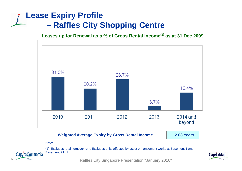## **Lease Expiry Profile –Raffles City Shopping Centre**

**Leases up for Renewal as a % of Gross Rental Income(1) as at 31 Dec 2009**



Raffles City Singapore Presentation \*January 2010\* <sup>6</sup>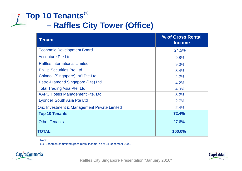## **Top 10 Tenants(1) –Raffles City Tower (Office)**

| <b>Tenant</b>                                | % of Gross Rental<br><b>Income</b> |
|----------------------------------------------|------------------------------------|
| <b>Economic Development Board</b>            | 24.5%                              |
| <b>Accenture Pte Ltd</b>                     | 9.8%                               |
| <b>Raffles International Limited</b>         | 9.0%                               |
| <b>Phillip Securities Pte Ltd</b>            | 8.4%                               |
| Chinaoil (Singapore) Int'l Pte Ltd           | 4.2%                               |
| Petro-Diamond Singapore (Pte) Ltd            | 4.2%                               |
| <b>Total Trading Asia Pte. Ltd.</b>          | 4.0%                               |
| AAPC Hotels Management Pte. Ltd.             | 3.2%                               |
| <b>Lyondell South Asia Pte Ltd</b>           | 2.7%                               |
| Orix Investment & Management Private Limited | 2.4%                               |
| <b>Top 10 Tenants</b>                        | 72.4%                              |
| <b>Other Tenants</b>                         | 27.6%                              |
| TOTAL                                        | 100.0%                             |

Note:

(1) Based on committed gross rental income as at 31 December 2009.



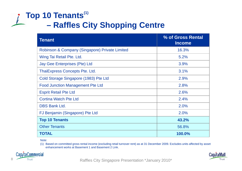## **Top 10 Tenants(1) –Raffles City Shopping Centre**

| <b>Tenant</b>                                   | % of Gross Rental<br><b>Income</b> |
|-------------------------------------------------|------------------------------------|
| Robinson & Company (Singapore) Private Limited  | 16.3%                              |
| Wing Tai Retail Pte. Ltd.                       | 5.2%                               |
| Jay Gee Enterprises (Pte) Ltd                   | 3.9%                               |
| <b>ThaiExpress Concepts Pte. Ltd.</b><br>3.1%   |                                    |
| Cold Storage Singapore (1983) Pte Ltd           | 2.9%                               |
| <b>Food Junction Management Pte Ltd</b><br>2.8% |                                    |
| <b>Esprit Retail Pte Ltd</b>                    | 2.6%                               |
| <b>Cortina Watch Pte Ltd</b>                    | 2.4%                               |
| <b>DBS Bank Ltd.</b>                            | 2.0%                               |
| FJ Benjamin (Singapore) Pte Ltd                 | 2.0%                               |
| <b>Top 10 Tenants</b>                           | 43.2%                              |
| <b>Other Tenants</b>                            | 56.8%                              |
| <b>TOTAL</b>                                    | 100.0%                             |

Note:

(1) Based on committed gross rental income (excluding retail turnover rent) as at 31 December 2009. Excludes units affected by asset enhancement works at Basement 1 and Basement 2 Link.



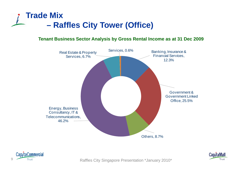

#### **Tenant Business Sector Analysis by Gross Rental Income as at 31 Dec 2009**





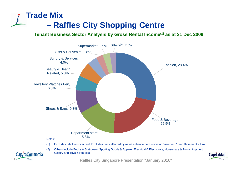### **Trade Mix –Raffles City Shopping Centre**

**Tenant Business Sector Analysis by Gross Rental Income(1) as at 31 Dec 2009**



10 Trust Trust Trust City Singapore Presentation \*January 2010\*

Trust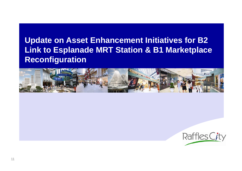# **Update on Asset Enhancement Initiatives for B2 Link to Esplanade MRT Station & B1 Marketplace Reconfiguration**



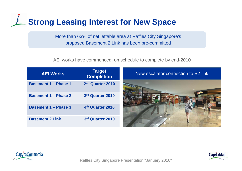# **Strong Leasing Interest for New Space**

More than 63% of net lettable area at Raffles City Singapore's proposed Basement 2 Link has been pre-committed

AEI works have commenced; on schedule to complete by end-2010

| <b>AEI Works</b>            | <b>Target</b><br><b>Completion</b> | New escalator connection to B2 link |
|-----------------------------|------------------------------------|-------------------------------------|
| <b>Basement 1 - Phase 1</b> | 2nd Quarter 2010                   |                                     |
| <b>Basement 1 - Phase 2</b> | 3rd Quarter 2010                   |                                     |
| <b>Basement 1 - Phase 3</b> | 4th Quarter 2010                   |                                     |
| <b>Basement 2 Link</b>      | 3rd Quarter 2010                   |                                     |